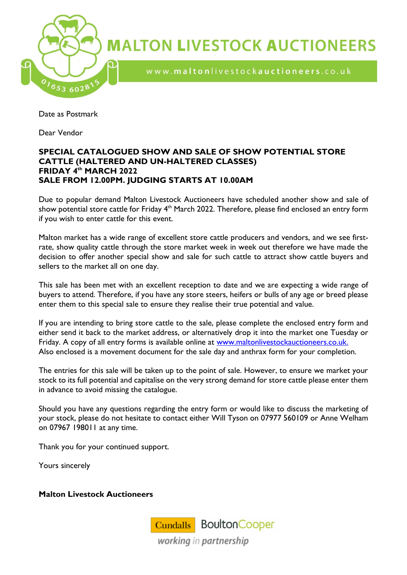

**MALTON LIVESTOCK AUCTIONEERS** 

www.maltonlivestockauctioneers.co.uk

Date as Postmark

Dear Vendor

#### **SPECIAL CATALOGUED SHOW AND SALE OF SHOW POTENTIAL STORE CATTLE (HALTERED AND UN-HALTERED CLASSES) FRIDAY 4 th MARCH 2022 SALE FROM 12.00PM. JUDGING STARTS AT 10.00AM**

Due to popular demand Malton Livestock Auctioneers have scheduled another show and sale of show potential store cattle for Friday 4<sup>th</sup> March 2022. Therefore, please find enclosed an entry form if you wish to enter cattle for this event.

Malton market has a wide range of excellent store cattle producers and vendors, and we see firstrate, show quality cattle through the store market week in week out therefore we have made the decision to offer another special show and sale for such cattle to attract show cattle buyers and sellers to the market all on one day.

This sale has been met with an excellent reception to date and we are expecting a wide range of buyers to attend. Therefore, if you have any store steers, heifers or bulls of any age or breed please enter them to this special sale to ensure they realise their true potential and value.

If you are intending to bring store cattle to the sale, please complete the enclosed entry form and either send it back to the market address, or alternatively drop it into the market one Tuesday or Friday. A copy of all entry forms is available online at [www.maltonlivestockauctioneers.co.uk.](http://www.maltonlivestockauctioneers.co.uk/) Also enclosed is a movement document for the sale day and anthrax form for your completion.

The entries for this sale will be taken up to the point of sale. However, to ensure we market your stock to its full potential and capitalise on the very strong demand for store cattle please enter them in advance to avoid missing the catalogue.

Should you have any questions regarding the entry form or would like to discuss the marketing of your stock, please do not hesitate to contact either Will Tyson on 07977 560109 or Anne Welham on 07967 198011 at any time.

Thank you for your continued support.

Yours sincerely

#### **Malton Livestock Auctioneers**

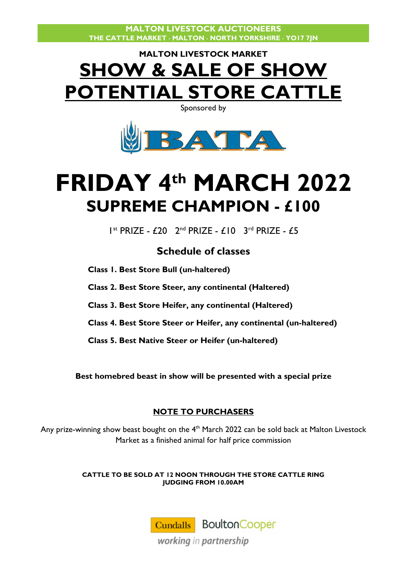## **MALTON LIVESTOCK MARKET SHOW & SALE OF SHOW POTENTIAL STORE CATTLE**

Sponsored by



# **FRIDAY 4 th MARCH 2022 SUPREME CHAMPION - £100**

I<sup>st</sup> PRIZE - £20 2<sup>nd</sup> PRIZE - £10 3<sup>rd</sup> PRIZE - £5

### **Schedule of classes**

**Class 1. Best Store Bull (un-haltered)**

**Class 2. Best Store Steer, any continental (Haltered)**

**Class 3. Best Store Heifer, any continental (Haltered)**

**Class 4. Best Store Steer or Heifer, any continental (un-haltered)**

**Class 5. Best Native Steer or Heifer (un-haltered)** 

**Best homebred beast in show will be presented with a special prize**

#### **NOTE TO PURCHASERS**

Any prize-winning show beast bought on the  $4<sup>th</sup>$  March 2022 can be sold back at Malton Livestock Market as a finished animal for half price commission

> **CATTLE TO BE SOLD AT 12 NOON THROUGH THE STORE CATTLE RING JUDGING FROM 10.00AM**